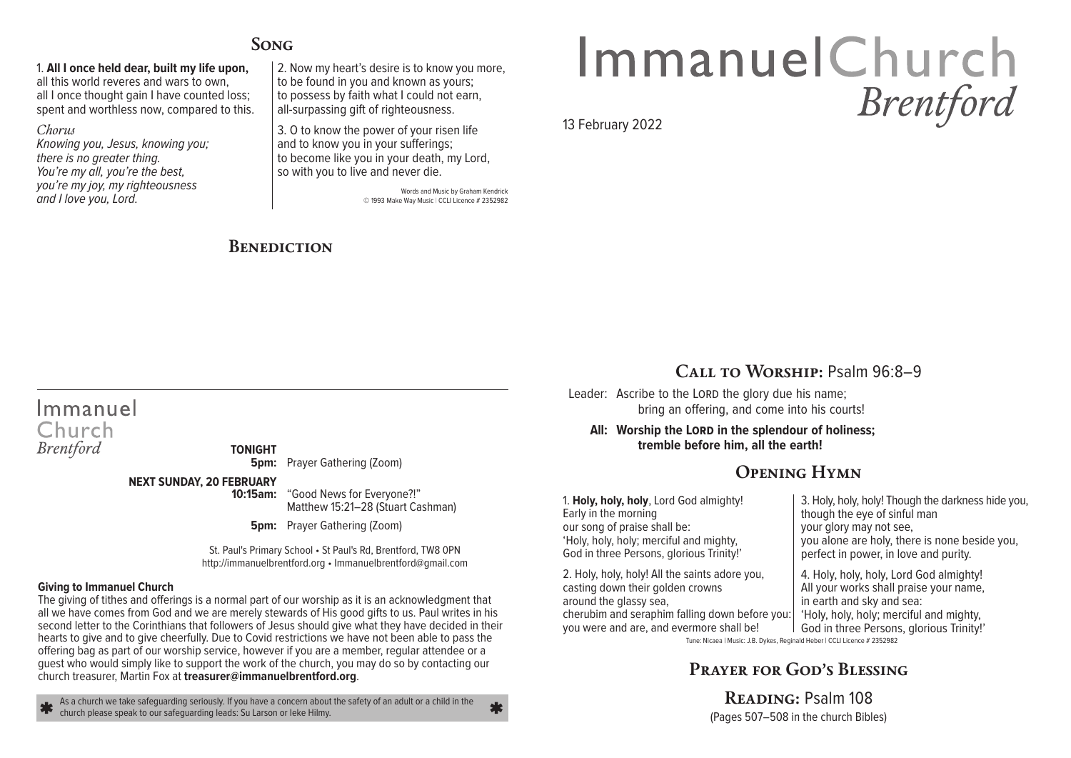## **Song**

#### 1. **All I once held dear, built my life upon,**

all this world reveres and wars to own, all I once thought gain I have counted loss; spent and worthless now, compared to this.

#### *Chorus*

Knowing you, Jesus, knowing you; there is no greater thing. You're my all, you're the best, you're my joy, my righteousness and I love you, Lord.

2. Now my heart's desire is to know you more, to be found in you and known as yours; to possess by faith what I could not earn, all-surpassing gift of righteousness.

3. O to know the power of your risen life and to know you in your sufferings; to become like you in your death, my Lord, so with you to live and never die.

> Words and Music by Graham Kendrick © 1993 Make Way Music | CCLI Licence # 2352982

## **BENEDICTION**

# ImmanuelChurch Brentford

13 February 2022

## **Call to Worship:** Psalm 96:8–9

Leader: Ascribe to the LORD the glory due his name; bring an offering, and come into his courts!

### All: Worship the LORD in the splendour of holiness:  **tremble before him, all the earth!**

## **Opening Hymn**

1. **Holy, holy, holy**, Lord God almighty! Early in the morning our song of praise shall be: 'Holy, holy, holy; merciful and mighty, God in three Persons, glorious Trinity!'

2. Holy, holy, holy! All the saints adore you, casting down their golden crowns around the glassy sea, cherubim and seraphim falling down before you: you were and are, and evermore shall be!

3. Holy, holy, holy! Though the darkness hide you, though the eye of sinful man your glory may not see, you alone are holy, there is none beside you, perfect in power, in love and purity.

4. Holy, holy, holy, Lord God almighty! All your works shall praise your name, in earth and sky and sea: 'Holy, holy, holy; merciful and mighty, God in three Persons, glorious Trinity!'

Tune: Nicaea | Music: J.B. Dykes, Reginald Heber | CCLI Licence # 2352982

## **Prayer for God's Blessing**

**Reading:** Psalm 108 (Pages 507–508 in the church Bibles)

## Immanuel Church **Brentford**

### **TONIGHT**

**5pm:** Prayer Gathering (Zoom)

#### **NEXT SUNDAY, 20 FEBRUARY**

**10:15am:** "Good News for Everyone?!" Matthew 15:21–28 (Stuart Cashman)

**5pm:** Prayer Gathering (Zoom)

St. Paul's Primary School • St Paul's Rd, Brentford, TW8 0PN http://immanuelbrentford.org • Immanuelbrentford@gmail.com

#### **Giving to Immanuel Church**

The giving of tithes and offerings is a normal part of our worship as it is an acknowledgment that all we have comes from God and we are merely stewards of His good gifts to us. Paul writes in his second letter to the Corinthians that followers of Jesus should give what they have decided in their hearts to give and to give cheerfully. Due to Covid restrictions we have not been able to pass the offering bag as part of our worship service, however if you are a member, regular attendee or a guest who would simply like to support the work of the church, you may do so by contacting our church treasurer, Martin Fox at **treasurer@immanuelbrentford.org**.

As a church we take safeguarding seriously. If you have a concern about the safety of an adult or a child in the

church please speak to our safeguarding leads: Su Larson or Ieke Hilmy.